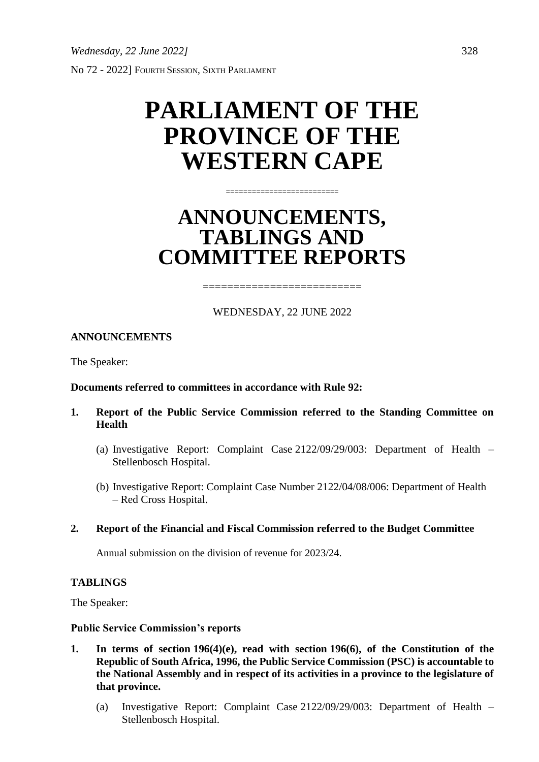# **PARLIAMENT OF THE PROVINCE OF THE WESTERN CAPE**

# **ANNOUNCEMENTS, TABLINGS AND COMMITTEE REPORTS**

==========================

## WEDNESDAY, 22 JUNE 2022

==========================

#### **ANNOUNCEMENTS**

The Speaker:

#### **Documents referred to committees in accordance with Rule 92:**

- **1. Report of the Public Service Commission referred to the Standing Committee on Health**
	- (a) Investigative Report: Complaint Case 2122/09/29/003: Department of Health Stellenbosch Hospital.
	- (b) Investigative Report: Complaint Case Number 2122/04/08/006: Department of Health – Red Cross Hospital.
- **2. Report of the Financial and Fiscal Commission referred to the Budget Committee**

Annual submission on the division of revenue for 2023/24.

#### **TABLINGS**

The Speaker:

#### **Public Service Commission's reports**

- **1. In terms of section 196(4)(e), read with section 196(6), of the Constitution of the Republic of South Africa, 1996, the Public Service Commission (PSC) is accountable to the National Assembly and in respect of its activities in a province to the legislature of that province.**
	- (a) Investigative Report: Complaint Case 2122/09/29/003: Department of Health Stellenbosch Hospital.